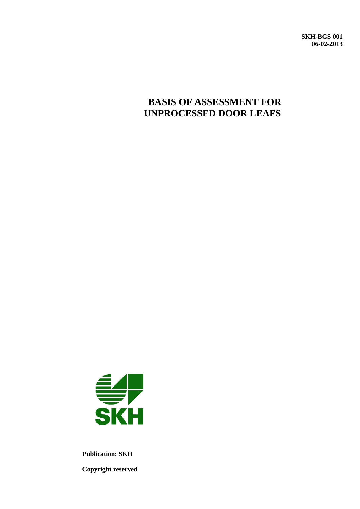**SKH-BGS 001 06-02-2013**

# **BASIS OF ASSESSMENT FOR UNPROCESSED DOOR LEAFS**



**Publication: SKH Copyright reserved**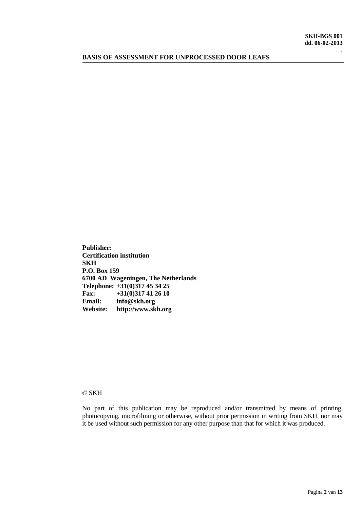### **BASIS OF ASSESSMENT FOR UNPROCESSED DOOR LEAFS**

**Publisher: Certification institution SKH P.O. Box 159 6700 AD Wageningen, The Netherlands Telephone: +31(0)317 45 34 25 Fax:**  $+31(0)317412610$ <br>**Email:**  $info@skh.org$ **Email: info@skh.org Website: http://www.skh.org**

#### © SKH

No part of this publication may be reproduced and/or transmitted by means of printing, photocopying, microfilming or otherwise, without prior permission in writing from SKH, nor may it be used without such permission for any other purpose than that for which it was produced.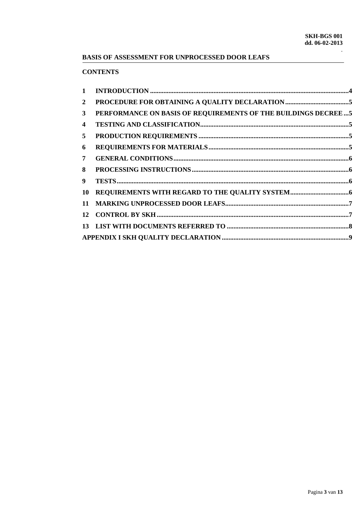# **BASIS OF ASSESSMENT FOR UNPROCESSED DOOR LEAFS**

# **CONTENTS**

| PERFORMANCE ON BASIS OF REQUIREMENTS OF THE BUILDINGS DECREE  5 | $\mathbf{1}$ |  |
|-----------------------------------------------------------------|--------------|--|
|                                                                 | $\mathbf{2}$ |  |
|                                                                 | $\mathbf{3}$ |  |
|                                                                 | 4            |  |
|                                                                 | 5            |  |
|                                                                 | 6            |  |
|                                                                 | 7            |  |
|                                                                 | 8            |  |
|                                                                 | 9            |  |
|                                                                 | 10           |  |
|                                                                 |              |  |
|                                                                 |              |  |
|                                                                 |              |  |
|                                                                 |              |  |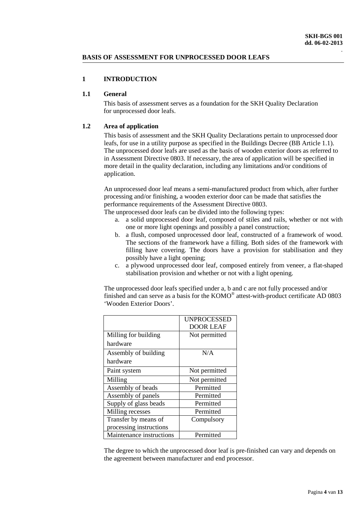### **BASIS OF ASSESSMENT FOR UNPROCESSED DOOR LEAFS**

# <span id="page-3-0"></span>**1 INTRODUCTION**

### **1.1 General**

This basis of assessment serves as a foundation for the SKH Quality Declaration for unprocessed door leafs.

### **1.2 Area of application**

This basis of assessment and the SKH Quality Declarations pertain to unprocessed door leafs, for use in a utility purpose as specified in the Buildings Decree (BB Article 1.1). The unprocessed door leafs are used as the basis of wooden exterior doors as referred to in Assessment Directive 0803. If necessary, the area of application will be specified in more detail in the quality declaration, including any limitations and/or conditions of application.

An unprocessed door leaf means a semi-manufactured product from which, after further processing and/or finishing, a wooden exterior door can be made that satisfies the performance requirements of the Assessment Directive 0803.

The unprocessed door leafs can be divided into the following types:

- a. a solid unprocessed door leaf, composed of stiles and rails, whether or not with one or more light openings and possibly a panel construction;
- b. a flush, composed unprocessed door leaf, constructed of a framework of wood. The sections of the framework have a filling. Both sides of the framework with filling have covering. The doors have a provision for stabilisation and they possibly have a light opening;
- c. a plywood unprocessed door leaf, composed entirely from veneer, a flat-shaped stabilisation provision and whether or not with a light opening.

The unprocessed door leafs specified under a, b and c are not fully processed and/or finished and can serve as a basis for the KOMO® attest-with-product certificate AD 0803 'Wooden Exterior Doors'.

|                          | <b>UNPROCESSED</b> |
|--------------------------|--------------------|
|                          | <b>DOOR LEAF</b>   |
| Milling for building     | Not permitted      |
| hardware                 |                    |
| Assembly of building     | N/A                |
| hardware                 |                    |
| Paint system             | Not permitted      |
| Milling                  | Not permitted      |
| Assembly of beads        | Permitted          |
| Assembly of panels       | Permitted          |
| Supply of glass beads    | Permitted          |
| Milling recesses         | Permitted          |
| Transfer by means of     | Compulsory         |
| processing instructions  |                    |
| Maintenance instructions | Permitted          |

The degree to which the unprocessed door leaf is pre-finished can vary and depends on the agreement between manufacturer and end processor.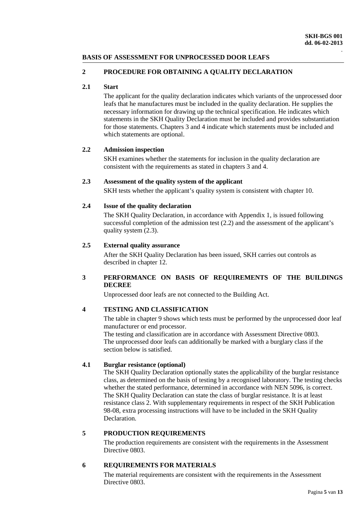# **BASIS OF ASSESSMENT FOR UNPROCESSED DOOR LEAFS**

### <span id="page-4-0"></span>**2 PROCEDURE FOR OBTAINING A QUALITY DECLARATION**

### **2.1 Start**

The applicant for the quality declaration indicates which variants of the unprocessed door leafs that he manufactures must be included in the quality declaration. He supplies the necessary information for drawing up the technical specification. He indicates which statements in the SKH Quality Declaration must be included and provides substantiation for those statements. Chapters 3 and 4 indicate which statements must be included and which statements are optional.

### **2.2 Admission inspection**

SKH examines whether the statements for inclusion in the quality declaration are consistent with the requirements as stated in chapters 3 and 4.

### **2.3 Assessment of the quality system of the applicant**

SKH tests whether the applicant's quality system is consistent with chapter 10.

### **2.4 Issue of the quality declaration**

The SKH Quality Declaration, in accordance with Appendix 1, is issued following successful completion of the admission test (2.2) and the assessment of the applicant's quality system  $(2.3)$ .

### **2.5 External quality assurance**

After the SKH Quality Declaration has been issued, SKH carries out controls as described in chapter 12.

# <span id="page-4-1"></span>**3 PERFORMANCE ON BASIS OF REQUIREMENTS OF THE BUILDINGS DECREE**

Unprocessed door leafs are not connected to the Building Act.

# <span id="page-4-2"></span>**4 TESTING AND CLASSIFICATION**

The table in chapter 9 shows which tests must be performed by the unprocessed door leaf manufacturer or end processor.

The testing and classification are in accordance with Assessment Directive 0803. The unprocessed door leafs can additionally be marked with a burglary class if the section below is satisfied.

# **4.1 Burglar resistance (optional)**

The SKH Quality Declaration optionally states the applicability of the burglar resistance class, as determined on the basis of testing by a recognised laboratory. The testing checks whether the stated performance, determined in accordance with NEN 5096, is correct. The SKH Quality Declaration can state the class of burglar resistance. It is at least resistance class 2. With supplementary requirements in respect of the SKH Publication 98-08, extra processing instructions will have to be included in the SKH Quality Declaration.

# <span id="page-4-3"></span>**5 PRODUCTION REQUIREMENTS**

The production requirements are consistent with the requirements in the Assessment Directive 0803.

# <span id="page-4-4"></span>**6 REQUIREMENTS FOR MATERIALS**

The material requirements are consistent with the requirements in the Assessment Directive 0803.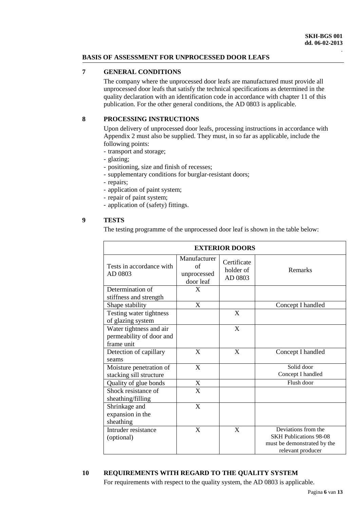# **BASIS OF ASSESSMENT FOR UNPROCESSED DOOR LEAFS**

# <span id="page-5-0"></span>**7 GENERAL CONDITIONS**

The company where the unprocessed door leafs are manufactured must provide all unprocessed door leafs that satisfy the technical specifications as determined in the quality declaration with an identification code in accordance with chapter 11 of this publication. For the other general conditions, the AD 0803 is applicable.

# <span id="page-5-1"></span>**8 PROCESSING INSTRUCTIONS**

Upon delivery of unprocessed door leafs, processing instructions in accordance with Appendix 2 must also be supplied. They must, in so far as applicable, include the following points:

- transport and storage;
- glazing;
- positioning, size and finish of recesses;
- supplementary conditions for burglar-resistant doors;
- repairs;
- application of paint system;
- repair of paint system;
- application of (safety) fittings.

# <span id="page-5-2"></span>**9 TESTS**

The testing programme of the unprocessed door leaf is shown in the table below:

| <b>EXTERIOR DOORS</b>                                             |                                                |                                     |                                                                                                          |
|-------------------------------------------------------------------|------------------------------------------------|-------------------------------------|----------------------------------------------------------------------------------------------------------|
| Tests in accordance with<br>AD 0803                               | Manufacturer<br>of<br>unprocessed<br>door leaf | Certificate<br>holder of<br>AD 0803 | <b>Remarks</b>                                                                                           |
| Determination of<br>stiffness and strength                        | X                                              |                                     |                                                                                                          |
| Shape stability                                                   | X                                              |                                     | Concept I handled                                                                                        |
| Testing water tightness<br>of glazing system                      |                                                | $\boldsymbol{\mathrm{X}}$           |                                                                                                          |
| Water tightness and air<br>permeability of door and<br>frame unit |                                                | $\boldsymbol{\mathrm{X}}$           |                                                                                                          |
| Detection of capillary<br>seams                                   | X                                              | $\mathbf{X}$                        | Concept I handled                                                                                        |
| Moisture penetration of<br>stacking sill structure                | $\mathbf X$                                    |                                     | Solid door<br>Concept I handled                                                                          |
| Quality of glue bonds                                             | $\mathbf X$                                    |                                     | Flush door                                                                                               |
| Shock resistance of<br>sheathing/filling                          | $\mathbf X$                                    |                                     |                                                                                                          |
| Shrinkage and<br>expansion in the<br>sheathing                    | X                                              |                                     |                                                                                                          |
| Intruder resistance<br>(optional)                                 | $\mathbf{X}$                                   | X                                   | Deviations from the<br><b>SKH Publications 98-08</b><br>must be demonstrated by the<br>relevant producer |

# <span id="page-5-3"></span>**10 REQUIREMENTS WITH REGARD TO THE QUALITY SYSTEM**

For requirements with respect to the quality system, the AD 0803 is applicable.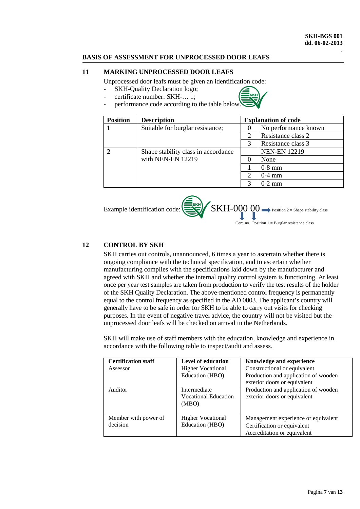### **BASIS OF ASSESSMENT FOR UNPROCESSED DOOR LEAFS**

### <span id="page-6-0"></span>**11 MARKING UNPROCESSED DOOR LEAFS**

Unprocessed door leafs must be given an identification code:

- SKH-Quality Declaration logo;
- certificate number: SKH-… ..;



- performance code according to the table below.

| <b>Position</b> | <b>Description</b>                  |                             | <b>Explanation of code</b> |
|-----------------|-------------------------------------|-----------------------------|----------------------------|
|                 | Suitable for burglar resistance;    |                             | No performance known       |
|                 |                                     | 2                           | Resistance class 2         |
|                 |                                     | 3                           | Resistance class 3         |
|                 | Shape stability class in accordance |                             | <b>NEN-EN 12219</b>        |
|                 | with NEN-EN 12219                   |                             | None                       |
|                 |                                     |                             | $0-8$ mm                   |
|                 |                                     | $\mathcal{D}_{\mathcal{L}}$ | $0-4$ mm                   |
|                 |                                     | 3                           | $0-2$ mm                   |



Cert. no. Position  $1 = Burglar$  resistance class

### <span id="page-6-1"></span>**12 CONTROL BY SKH**

SKH carries out controls, unannounced, 6 times a year to ascertain whether there is ongoing compliance with the technical specification, and to ascertain whether manufacturing complies with the specifications laid down by the manufacturer and agreed with SKH and whether the internal quality control system is functioning. At least once per year test samples are taken from production to verify the test results of the holder of the SKH Quality Declaration. The above-mentioned control frequency is permanently equal to the control frequency as specified in the AD 0803. The applicant's country will generally have to be safe in order for SKH to be able to carry out visits for checking purposes. In the event of negative travel advice, the country will not be visited but the unprocessed door leafs will be checked on arrival in the Netherlands.

SKH will make use of staff members with the education, knowledge and experience in accordance with the following table to inspect/audit and assess.

| <b>Certification staff</b> | <b>Level of education</b>   | <b>Knowledge and experience</b>      |
|----------------------------|-----------------------------|--------------------------------------|
| Assessor                   | <b>Higher Vocational</b>    | Constructional or equivalent         |
|                            | Education (HBO)             | Production and application of wooden |
|                            |                             | exterior doors or equivalent         |
| Auditor                    | Intermediate                | Production and application of wooden |
|                            | <b>Vocational Education</b> | exterior doors or equivalent         |
|                            | (MBO)                       |                                      |
|                            |                             |                                      |
| Member with power of       | <b>Higher Vocational</b>    | Management experience or equivalent  |
| decision                   | Education (HBO)             | Certification or equivalent          |
|                            |                             | Accreditation or equivalent          |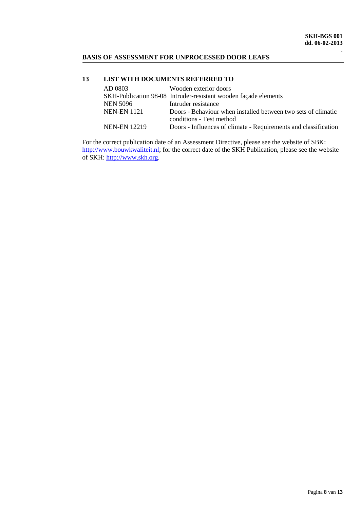# **BASIS OF ASSESSMENT FOR UNPROCESSED DOOR LEAFS**

### <span id="page-7-0"></span>**13 LIST WITH DOCUMENTS REFERRED TO**

| AD 0803             | Wooden exterior doors                                           |
|---------------------|-----------------------------------------------------------------|
|                     | SKH-Publication 98-08 Intruder-resistant wooden façade elements |
| <b>NEN 5096</b>     | Intruder resistance                                             |
| <b>NEN-EN 1121</b>  | Doors - Behaviour when installed between two sets of climatic   |
|                     | conditions - Test method                                        |
| <b>NEN-EN 12219</b> | Doors - Influences of climate - Requirements and classification |

For the correct publication date of an Assessment Directive, please see the website of SBK: [http://www.bouwkwaliteit.nl;](http://www.bouwkwaliteit.nl/) for the correct date of the SKH Publication, please see the website of SKH: [http://www.skh.org.](http://www.skh.org/)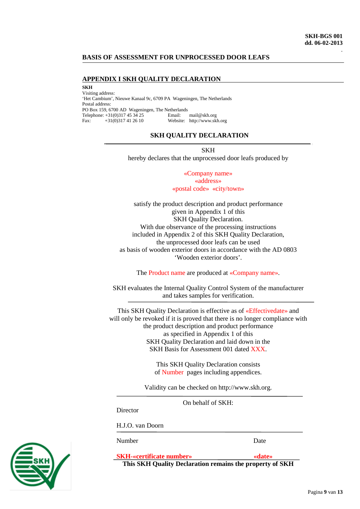### **BASIS OF ASSESSMENT FOR UNPROCESSED DOOR LEAFS**

#### <span id="page-8-0"></span>**APPENDIX I SKH QUALITY DECLARATION**

**SKH** 

Visiting address: 'Het Cambium', Nieuwe Kanaal 9c, 6709 PA Wageningen, The Netherlands Postal address: PO Box 159, 6700 AD Wageningen, The Netherlands<br>Telephone: +31(0)317 45 34 25 Email: mail@skh.org Telephone:  $+31(0)317453425$ <br>Fax:  $+31(0)317412610$ Fax: +31(0)317 41 26 10 Website: http://www.skh.org

#### **SKH QUALITY DECLARATION**

SKH hereby declares that the unprocessed door leafs produced by

> «Company name» «address» «postal code» «city/town»

satisfy the product description and product performance given in Appendix 1 of this SKH Quality Declaration. With due observance of the processing instructions included in Appendix 2 of this SKH Quality Declaration, the unprocessed door leafs can be used as basis of wooden exterior doors in accordance with the AD 0803 'Wooden exterior doors'.

The Product name are produced at «Company name».

SKH evaluates the Internal Quality Control System of the manufacturer and takes samples for verification.

This SKH Quality Declaration is effective as of «Effectivedate» and will only be revoked if it is proved that there is no longer compliance with the product description and product performance as specified in Appendix 1 of this SKH Quality Declaration and laid down in the SKH Basis for Assessment 001 dated XXX.

> This SKH Quality Declaration consists of Number pages including appendices.

Validity can be checked on http://www.skh.org.

On behalf of SKH:

**Director** 

H.J.O. van Doorn

Number Date

**SKH-«certificate number» «date»**

**This SKH Quality Declaration remains the property of SKH**

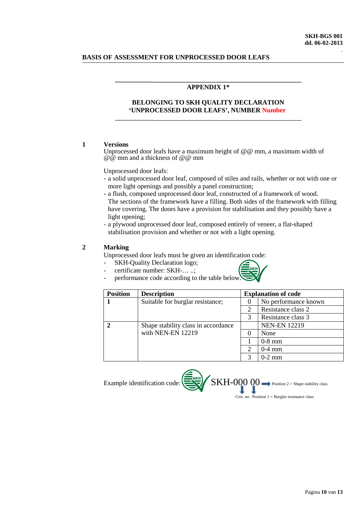### **BASIS OF ASSESSMENT FOR UNPROCESSED DOOR LEAFS**

### **APPENDIX 1\***

### **BELONGING TO SKH QUALITY DECLARATION 'UNPROCESSED DOOR LEAFS', NUMBER Number**

#### **1 Versions**

Unprocessed door leafs have a maximum height of @@ mm, a maximum width of @@ mm and a thickness of @@ mm

Unprocessed door leafs:

- a solid unprocessed door leaf, composed of stiles and rails, whether or not with one or more light openings and possibly a panel construction;
- a flush, composed unprocessed door leaf, constructed of a framework of wood. The sections of the framework have a filling. Both sides of the framework with filling have covering. The doors have a provision for stabilisation and they possibly have a light opening;
- a plywood unprocessed door leaf, composed entirely of veneer, a flat-shaped stabilisation provision and whether or not with a light opening.

### **2 Marking**

Unprocessed door leafs must be given an identification code:

- SKH-Quality Declaration logo;
	- certificate number: SKH-... ..; performance code according to the table below.



| <b>Position</b> | <b>Description</b>                  |               | <b>Explanation of code</b> |
|-----------------|-------------------------------------|---------------|----------------------------|
|                 | Suitable for burglar resistance;    | $\theta$      | No performance known       |
|                 |                                     | 2             | Resistance class 2         |
|                 |                                     | 3             | Resistance class 3         |
|                 | Shape stability class in accordance |               | <b>NEN-EN 12219</b>        |
|                 | with NEN-EN 12219                   | $\theta$      | None                       |
|                 |                                     |               | $0-8$ mm                   |
|                 |                                     | $\mathcal{D}$ | $0-4$ mm                   |
|                 |                                     | 3             | $0-2$ mm                   |

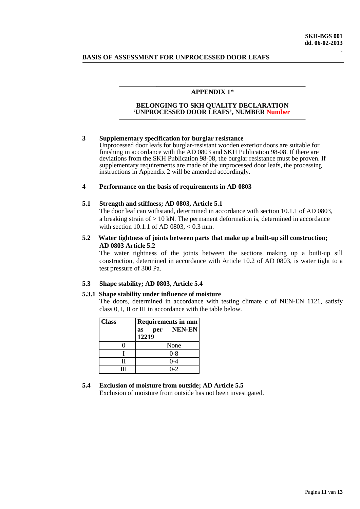### **BASIS OF ASSESSMENT FOR UNPROCESSED DOOR LEAFS**

#### **APPENDIX 1\***

#### **BELONGING TO SKH QUALITY DECLARATION 'UNPROCESSED DOOR LEAFS', NUMBER Number**

#### **3 Supplementary specification for burglar resistance**

Unprocessed door leafs for burglar-resistant wooden exterior doors are suitable for finishing in accordance with the AD 0803 and SKH Publication 98-08. If there are deviations from the SKH Publication 98-08, the burglar resistance must be proven. If supplementary requirements are made of the unprocessed door leafs, the processing instructions in Appendix 2 will be amended accordingly.

#### **4 Performance on the basis of requirements in AD 0803**

#### **5.1 Strength and stiffness; AD 0803, Article 5.1**

The door leaf can withstand, determined in accordance with section 10.1.1 of AD 0803, a breaking strain of  $> 10$  kN. The permanent deformation is, determined in accordance with section 10.1.1 of AD 0803, < 0.3 mm.

#### **5.2 Water tightness of joints between parts that make up a built-up sill construction; AD 0803 Article 5.2**

The water tightness of the joints between the sections making up a built-up sill construction, determined in accordance with Article 10.2 of AD 0803, is water tight to a test pressure of 300 Pa.

#### **5.3 Shape stability; AD 0803, Article 5.4**

### **5.3.1 Shape stability under influence of moisture**

The doors, determined in accordance with testing climate c of NEN-EN 1121, satisfy class 0, I, II or III in accordance with the table below.

| <b>Class</b> | Requirements in $mm$<br>per NEN-EN<br>as<br>12219 |  |
|--------------|---------------------------------------------------|--|
|              | None                                              |  |
|              | $0 - 8$                                           |  |
|              | 0-4                                               |  |
| Ш            | $0 - 2$                                           |  |

#### **5.4 Exclusion of moisture from outside; AD Article 5.5**

Exclusion of moisture from outside has not been investigated.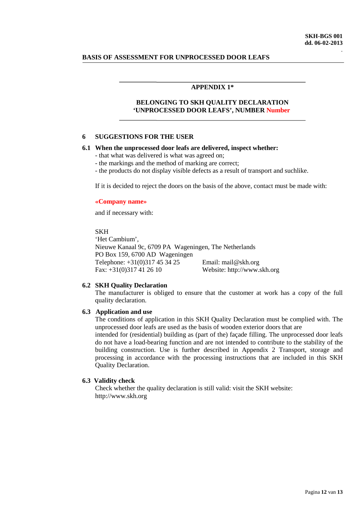#### **BASIS OF ASSESSMENT FOR UNPROCESSED DOOR LEAFS**

#### **APPENDIX 1\***

### **BELONGING TO SKH QUALITY DECLARATION 'UNPROCESSED DOOR LEAFS', NUMBER Number**

#### **6 SUGGESTIONS FOR THE USER**

#### **6.1 When the unprocessed door leafs are delivered, inspect whether:**

- that what was delivered is what was agreed on;
- the markings and the method of marking are correct;
- the products do not display visible defects as a result of transport and suchlike.

If it is decided to reject the doors on the basis of the above, contact must be made with:

#### **«Company name»**

and if necessary with:

#### SKH

'Het Cambium', Nieuwe Kanaal 9c, 6709 PA Wageningen, The Netherlands PO Box 159, 6700 AD Wageningen Telephone: +31(0)317 45 34 25 Email: mail@skh.org Fax: +31(0)317 41 26 10 Website: http://www.skh.org

#### **6.2 SKH Quality Declaration**

The manufacturer is obliged to ensure that the customer at work has a copy of the full quality declaration.

#### **6.3 Application and use**

The conditions of application in this SKH Quality Declaration must be complied with. The unprocessed door leafs are used as the basis of wooden exterior doors that are

intended for (residential) building as (part of the) façade filling. The unprocessed door leafs do not have a load-bearing function and are not intended to contribute to the stability of the building construction. Use is further described in Appendix 2 Transport, storage and processing in accordance with the processing instructions that are included in this SKH Quality Declaration.

#### **6.3 Validity check**

Check whether the quality declaration is still valid: visit the SKH website: http://www.skh.org